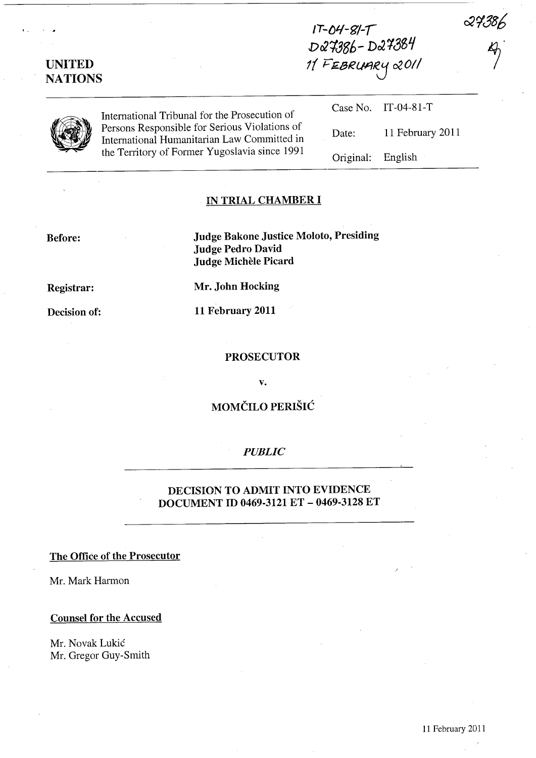27386

| <b>UNITED</b><br><b>NATIONS</b> |                                                                                                                                               | DQ7386-DQ7384<br>11 FEBRUARY 2011 |                     |  |
|---------------------------------|-----------------------------------------------------------------------------------------------------------------------------------------------|-----------------------------------|---------------------|--|
|                                 | International Tribunal for the Prosecution of                                                                                                 |                                   | Case No. IT-04-81-T |  |
|                                 | Persons Responsible for Serious Violations of<br>International Humanitarian Law Committed in<br>the Territory of Former Yugoslavia since 1991 | Date:                             | 11 February 2011    |  |
|                                 |                                                                                                                                               | Original:                         | English             |  |

**IT-{JlI-g/-1** 

## IN **TRIAL CHAMBER I**

**Before: Judge Bakone Justice Moloto, Presiding Judge Pedro David Judge MicheIe Picard** 

**Registrar: Mr. John Hocking** 

**Decision of: 11 February 2011** 

#### **PROSECUTOR**

**v.** 

**MOMČILO PERIŠIĆ** 

## *PUBLIC*

## **DECISION TO ADMIT INTO EVIDENCE DOCUMENT ID 0469-3121 ET - 0469-3128 ET**

### **The Office of the Prosecutor**

Mr. Mark Harmon

#### **Counsel for the Accused**

Mr. Novak Lukic Mr. Gregor Guy-Smith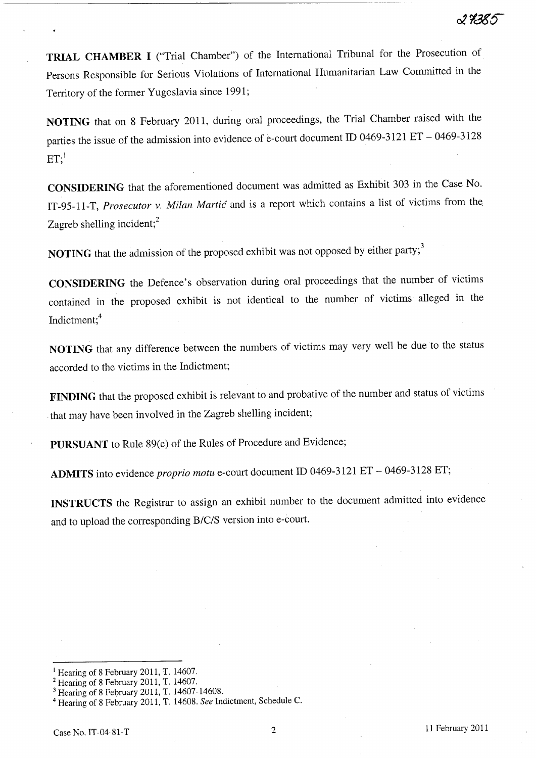**TRIAL CHAMBER I** ("Trial Chamber") of the International Tribunal for the Prosecution of Persons Responsible for Serious Violations of International Humanitarian Law Committed in the Territory of the former Yugoslavia since 1991;

**NOTING** that on 8 February 2011, during oral proceedings, the Trial Chamber raised with the parties the issue of the admission into evidence of e-court document **ID** 0469-3121 ET - 0469-3128  $ET$ ;<sup>1</sup>

**CONSIDERING** that the aforementioned document was admitted as Exhibit 303 in the Case No. IT-95-ll-T, *Prosecutor* v. *Milan Martic* and is a report which contains a list of victims from the. Zagreb shelling incident;<sup>2</sup>

**NOTING** that the admission of the proposed exhibit was not opposed by either party;<sup>3</sup>

**CONSIDERING** the Defence's observation during oral proceedings that the number of victims contained in the proposed exhibit is not identical to the number of victims' alleged in the Indictment;4

**NOTING** that any difference between the numbers of victims may very well be due to the status accorded to the victims in the Indictment;

**FINDING** that the proposed exhibit is relevant to and probative of the number and status of victims that may have been involved in the Zagreb shelling incident;

**PURSUANT** to Rule 89(c) of the Rules of Procedure and Evidence;

**ADMITS** into evidence *proprio motu* e-court document **ID** 0469-3121 ET - 0469-3128 ET;

**INSTRUCTS** the Registrar to assign an exhibit number to the document admitted into evidence and to upload the corresponding *B/C/S* version into e-court.

<sup>&</sup>lt;sup>1</sup> Hearing of 8 February 2011, T. 14607.

<sup>&</sup>lt;sup>2</sup> Hearing of 8 February 2011, T. 14607.<br><sup>3</sup> Hearing of 8 February 2011, T. 14607-14608.

<sup>&</sup>lt;sup>4</sup> Hearing of 8 February 2011, T. 14608. See Indictment, Schedule C.